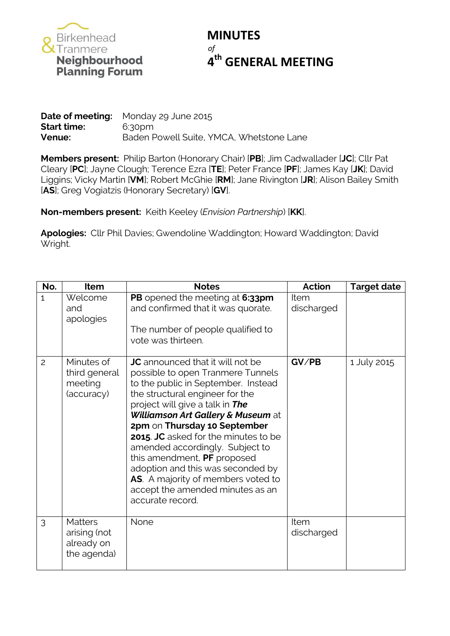

## **MINUTES** *of* **th GENERAL MEETING**

|                    | <b>Date of meeting:</b> Monday 29 June 2015 |
|--------------------|---------------------------------------------|
| <b>Start time:</b> | 6:30pm                                      |
| Venue:             | Baden Powell Suite, YMCA, Whetstone Lane    |

**Members present:** Philip Barton (Honorary Chair) [**PB**]; Jim Cadwallader [**JC**]; Cllr Pat Cleary [**PC**]; Jayne Clough; Terence Ezra [**TE**]; Peter France [**PF**]; James Kay [**JK**]; David Liggins; Vicky Martin [**VM**]; Robert McGhie [**RM**]; Jane Rivington [**JR**]; Alison Bailey Smith [**AS**]; Greg Vogiatzis (Honorary Secretary) [**GV**].

**Non-members present:** Keith Keeley (*Envision Partnership*) [**KK**].

**Apologies:** Cllr Phil Davies; Gwendoline Waddington; Howard Waddington; David Wright.

| No.            | <b>Item</b>                                                 | <b>Notes</b>                                                                                                                                                                                                                                                                                                                                                                                                                                                                                                         | <b>Action</b>             | <b>Target date</b> |
|----------------|-------------------------------------------------------------|----------------------------------------------------------------------------------------------------------------------------------------------------------------------------------------------------------------------------------------------------------------------------------------------------------------------------------------------------------------------------------------------------------------------------------------------------------------------------------------------------------------------|---------------------------|--------------------|
| $\mathbf{1}$   | Welcome<br>and<br>apologies                                 | PB opened the meeting at 6:33pm<br>and confirmed that it was quorate.<br>The number of people qualified to<br>vote was thirteen.                                                                                                                                                                                                                                                                                                                                                                                     | <b>Item</b><br>discharged |                    |
| $\overline{c}$ | Minutes of<br>third general<br>meeting<br>(accuracy)        | <b>JC</b> announced that it will not be<br>possible to open Tranmere Tunnels<br>to the public in September. Instead<br>the structural engineer for the<br>project will give a talk in The<br>Williamson Art Gallery & Museum at<br>2pm on Thursday 10 September<br>2015. JC asked for the minutes to be<br>amended accordingly. Subject to<br>this amendment, PF proposed<br>adoption and this was seconded by<br><b>AS</b> . A majority of members voted to<br>accept the amended minutes as an<br>accurate record. | GV/PB                     | 1 July 2015        |
| 3              | <b>Matters</b><br>arising (not<br>already on<br>the agenda) | None                                                                                                                                                                                                                                                                                                                                                                                                                                                                                                                 | Item<br>discharged        |                    |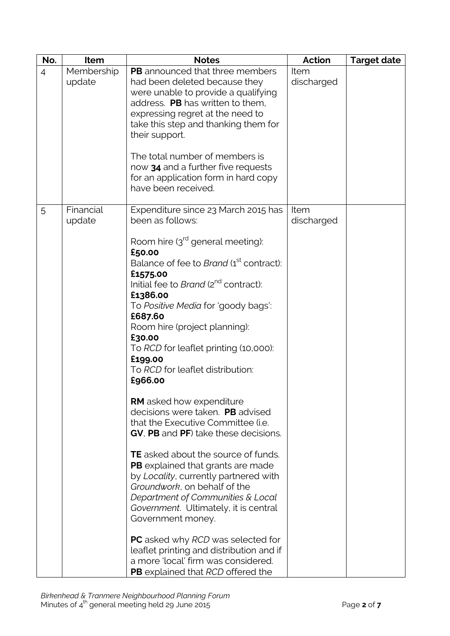| No.            | Item                 | <b>Notes</b>                                                                                                                                                                                                                                                                                                                                                                                                                                                                                                                                                                                                                                                                                                                                                                                                                                                                                                                                                        | <b>Action</b>      | <b>Target date</b> |
|----------------|----------------------|---------------------------------------------------------------------------------------------------------------------------------------------------------------------------------------------------------------------------------------------------------------------------------------------------------------------------------------------------------------------------------------------------------------------------------------------------------------------------------------------------------------------------------------------------------------------------------------------------------------------------------------------------------------------------------------------------------------------------------------------------------------------------------------------------------------------------------------------------------------------------------------------------------------------------------------------------------------------|--------------------|--------------------|
| $\overline{4}$ | Membership<br>update | <b>PB</b> announced that three members<br>had been deleted because they<br>were unable to provide a qualifying<br>address. PB has written to them,<br>expressing regret at the need to<br>take this step and thanking them for<br>their support.<br>The total number of members is<br>now 34 and a further five requests<br>for an application form in hard copy<br>have been received.                                                                                                                                                                                                                                                                                                                                                                                                                                                                                                                                                                             | Item<br>discharged |                    |
| 5              | Financial<br>update  | Expenditure since 23 March 2015 has<br>been as follows:<br>Room hire $3rd$ general meeting):<br>£50.00<br>Balance of fee to Brand (1 <sup>st</sup> contract):<br>£1575.00<br>Initial fee to Brand (2 <sup>nd</sup> contract):<br>£1386.00<br>To Positive Media for 'goody bags':<br>£687.60<br>Room hire (project planning):<br>£30.00<br>To RCD for leaflet printing (10,000):<br>£199.00<br>To RCD for leaflet distribution:<br>£966.00<br><b>RM</b> asked how expenditure<br>decisions were taken. PB advised<br>that the Executive Committee (i.e.<br>GV, PB and PF) take these decisions.<br><b>TE</b> asked about the source of funds.<br><b>PB</b> explained that grants are made<br>by Locality, currently partnered with<br>Groundwork, on behalf of the<br>Department of Communities & Local<br>Government. Ultimately, it is central<br>Government money.<br><b>PC</b> asked why <i>RCD</i> was selected for<br>leaflet printing and distribution and if | Item<br>discharged |                    |
|                |                      | a more 'local' firm was considered.<br>PB explained that RCD offered the                                                                                                                                                                                                                                                                                                                                                                                                                                                                                                                                                                                                                                                                                                                                                                                                                                                                                            |                    |                    |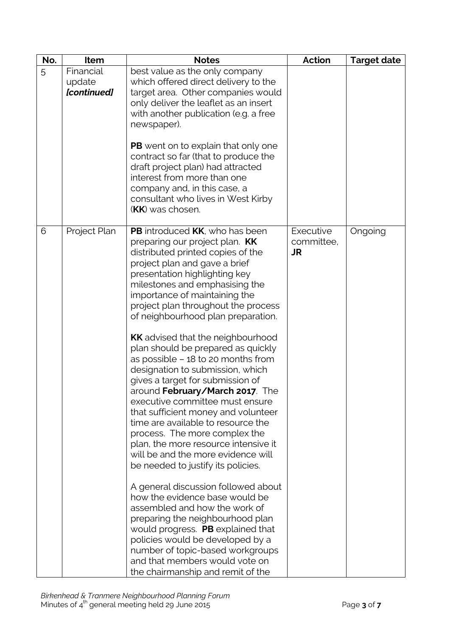| No. | Item                               | <b>Notes</b>                                                                                                                                                                                                                                                                                                                                                                                                                                                                                                                                                                                                                                                                                                                                                                                                                                                                                                                                                                                                                                                                                                                                                       | <b>Action</b>                        | <b>Target date</b> |
|-----|------------------------------------|--------------------------------------------------------------------------------------------------------------------------------------------------------------------------------------------------------------------------------------------------------------------------------------------------------------------------------------------------------------------------------------------------------------------------------------------------------------------------------------------------------------------------------------------------------------------------------------------------------------------------------------------------------------------------------------------------------------------------------------------------------------------------------------------------------------------------------------------------------------------------------------------------------------------------------------------------------------------------------------------------------------------------------------------------------------------------------------------------------------------------------------------------------------------|--------------------------------------|--------------------|
| 5   | Financial<br>update<br>[continued] | best value as the only company<br>which offered direct delivery to the<br>target area. Other companies would<br>only deliver the leaflet as an insert<br>with another publication (e.g. a free<br>newspaper).<br><b>PB</b> went on to explain that only one<br>contract so far (that to produce the<br>draft project plan) had attracted<br>interest from more than one<br>company and, in this case, a<br>consultant who lives in West Kirby<br><b>(KK)</b> was chosen.                                                                                                                                                                                                                                                                                                                                                                                                                                                                                                                                                                                                                                                                                           |                                      |                    |
| 6   | Project Plan                       | PB introduced KK, who has been<br>preparing our project plan. KK<br>distributed printed copies of the<br>project plan and gave a brief<br>presentation highlighting key<br>milestones and emphasising the<br>importance of maintaining the<br>project plan throughout the process<br>of neighbourhood plan preparation.<br><b>KK</b> advised that the neighbourhood<br>plan should be prepared as quickly<br>as possible $-18$ to 20 months from<br>designation to submission, which<br>gives a target for submission of<br>around February/March 2017. The<br>executive committee must ensure<br>that sufficient money and volunteer<br>time are available to resource the<br>process. The more complex the<br>plan, the more resource intensive it<br>will be and the more evidence will<br>be needed to justify its policies.<br>A general discussion followed about<br>how the evidence base would be<br>assembled and how the work of<br>preparing the neighbourhood plan<br>would progress. PB explained that<br>policies would be developed by a<br>number of topic-based workgroups<br>and that members would vote on<br>the chairmanship and remit of the | Executive<br>committee,<br><b>JR</b> | Ongoing            |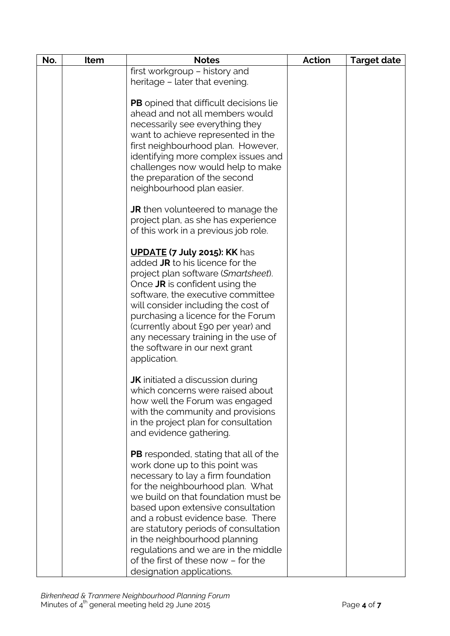| No. | Item | <b>Notes</b>                                                                                                                                                                                                                                                                                                                                                                                                                                                    | <b>Action</b> | <b>Target date</b> |
|-----|------|-----------------------------------------------------------------------------------------------------------------------------------------------------------------------------------------------------------------------------------------------------------------------------------------------------------------------------------------------------------------------------------------------------------------------------------------------------------------|---------------|--------------------|
|     |      | first workgroup - history and                                                                                                                                                                                                                                                                                                                                                                                                                                   |               |                    |
|     |      | heritage - later that evening.                                                                                                                                                                                                                                                                                                                                                                                                                                  |               |                    |
|     |      | <b>PB</b> opined that difficult decisions lie<br>ahead and not all members would<br>necessarily see everything they<br>want to achieve represented in the<br>first neighbourhood plan. However,<br>identifying more complex issues and<br>challenges now would help to make<br>the preparation of the second<br>neighbourhood plan easier.                                                                                                                      |               |                    |
|     |      | JR then volunteered to manage the<br>project plan, as she has experience<br>of this work in a previous job role.                                                                                                                                                                                                                                                                                                                                                |               |                    |
|     |      | <b>UPDATE (7 July 2015): KK has</b><br>added JR to his licence for the<br>project plan software (Smartsheet).<br>Once JR is confident using the<br>software, the executive committee<br>will consider including the cost of<br>purchasing a licence for the Forum<br>(currently about £90 per year) and<br>any necessary training in the use of<br>the software in our next grant<br>application.                                                               |               |                    |
|     |      | <b>JK</b> initiated a discussion during<br>which concerns were raised about<br>how well the Forum was engaged<br>with the community and provisions<br>in the project plan for consultation<br>and evidence gathering.                                                                                                                                                                                                                                           |               |                    |
|     |      | <b>PB</b> responded, stating that all of the<br>work done up to this point was<br>necessary to lay a firm foundation<br>for the neighbourhood plan. What<br>we build on that foundation must be<br>based upon extensive consultation<br>and a robust evidence base. There<br>are statutory periods of consultation<br>in the neighbourhood planning<br>regulations and we are in the middle<br>of the first of these now - for the<br>designation applications. |               |                    |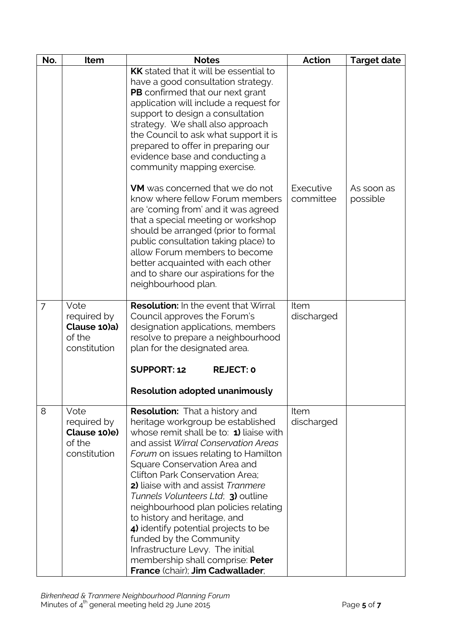| No.            | Item                                                          | <b>Notes</b>                                                                                                                                                                                                                                                                                                                                                                                                                                                                                                                                                                                                                                                | <b>Action</b>          | <b>Target date</b>     |
|----------------|---------------------------------------------------------------|-------------------------------------------------------------------------------------------------------------------------------------------------------------------------------------------------------------------------------------------------------------------------------------------------------------------------------------------------------------------------------------------------------------------------------------------------------------------------------------------------------------------------------------------------------------------------------------------------------------------------------------------------------------|------------------------|------------------------|
|                |                                                               | <b>KK</b> stated that it will be essential to<br>have a good consultation strategy.<br><b>PB</b> confirmed that our next grant<br>application will include a request for<br>support to design a consultation<br>strategy. We shall also approach<br>the Council to ask what support it is<br>prepared to offer in preparing our<br>evidence base and conducting a<br>community mapping exercise.                                                                                                                                                                                                                                                            |                        |                        |
|                |                                                               | <b>VM</b> was concerned that we do not<br>know where fellow Forum members<br>are 'coming from' and it was agreed<br>that a special meeting or workshop<br>should be arranged (prior to formal<br>public consultation taking place) to<br>allow Forum members to become<br>better acquainted with each other<br>and to share our aspirations for the<br>neighbourhood plan.                                                                                                                                                                                                                                                                                  | Executive<br>committee | As soon as<br>possible |
| $\overline{7}$ | Vote<br>required by<br>Clause 10)a)<br>of the<br>constitution | <b>Resolution:</b> In the event that Wirral<br>Council approves the Forum's<br>designation applications, members<br>resolve to prepare a neighbourhood<br>plan for the designated area.<br><b>SUPPORT: 12</b><br><b>REJECT: 0</b>                                                                                                                                                                                                                                                                                                                                                                                                                           | Item<br>discharged     |                        |
| 8              | Vote<br>required by<br>Clause 10)e)<br>of the<br>constitution | <b>Resolution adopted unanimously</b><br><b>Resolution:</b> That a history and<br>heritage workgroup be established<br>whose remit shall be to: 1) liaise with<br>and assist Wirral Conservation Areas<br>Forum on issues relating to Hamilton<br>Square Conservation Area and<br><b>Clifton Park Conservation Area;</b><br>2) liaise with and assist Tranmere<br>Tunnels Volunteers Ltd; 3) outline<br>neighbourhood plan policies relating<br>to history and heritage, and<br>4) identify potential projects to be<br>funded by the Community<br>Infrastructure Levy. The initial<br>membership shall comprise: Peter<br>France (chair); Jim Cadwallader; | Item<br>discharged     |                        |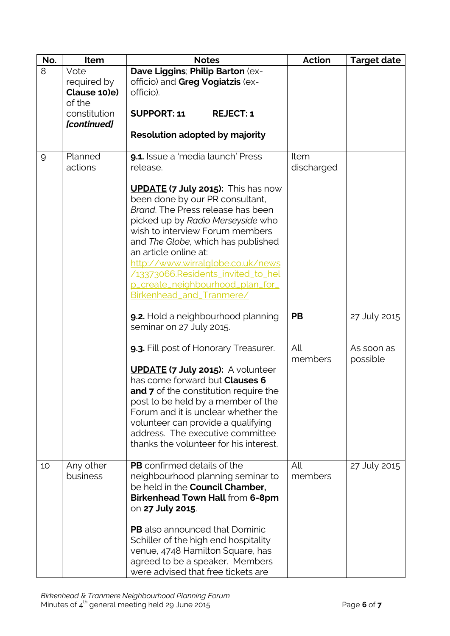| No.            | Item                                          | <b>Notes</b>                                                                                                                                                                                                                                                                                                                                                                                        | <b>Action</b>      | <b>Target date</b>     |
|----------------|-----------------------------------------------|-----------------------------------------------------------------------------------------------------------------------------------------------------------------------------------------------------------------------------------------------------------------------------------------------------------------------------------------------------------------------------------------------------|--------------------|------------------------|
| 8              | Vote<br>required by<br>Clause 10)e)<br>of the | Dave Liggins; Philip Barton (ex-<br>officio) and Greg Vogiatzis (ex-<br>officio).                                                                                                                                                                                                                                                                                                                   |                    |                        |
|                | constitution<br>[continued]                   | <b>SUPPORT: 11</b><br><b>REJECT: 1</b>                                                                                                                                                                                                                                                                                                                                                              |                    |                        |
|                |                                               | <b>Resolution adopted by majority</b>                                                                                                                                                                                                                                                                                                                                                               |                    |                        |
| $\overline{9}$ | Planned<br>actions                            | 9.1. Issue a 'media launch' Press<br>release.                                                                                                                                                                                                                                                                                                                                                       | Item<br>discharged |                        |
|                |                                               | <b>UPDATE (7 July 2015):</b> This has now<br>been done by our PR consultant,<br>Brand. The Press release has been<br>picked up by Radio Merseyside who<br>wish to interview Forum members<br>and The Globe, which has published<br>an article online at:<br>http://www.wirralglobe.co.uk/news<br>/13373066.Residents_invited_to_hel<br>p_create_neighbourhood_plan_for_<br>Birkenhead_and_Tranmere/ |                    |                        |
|                |                                               | 9.2. Hold a neighbourhood planning<br>seminar on 27 July 2015.                                                                                                                                                                                                                                                                                                                                      | <b>PB</b>          | 27 July 2015           |
|                |                                               | 9.3. Fill post of Honorary Treasurer.                                                                                                                                                                                                                                                                                                                                                               | All<br>members     | As soon as<br>possible |
|                |                                               | <b>UPDATE (7 July 2015):</b> A volunteer<br>has come forward but Clauses 6<br><b>and 7</b> of the constitution require the<br>post to be held by a member of the<br>Forum and it is unclear whether the<br>volunteer can provide a qualifying<br>address. The executive committee<br>thanks the volunteer for his interest.                                                                         |                    |                        |
| 10             | Any other<br>business                         | PB confirmed details of the<br>neighbourhood planning seminar to<br>be held in the Council Chamber,<br>Birkenhead Town Hall from 6-8pm<br>on 27 July 2015.                                                                                                                                                                                                                                          | All<br>members     | 27 July 2015           |
|                |                                               | <b>PB</b> also announced that Dominic<br>Schiller of the high end hospitality<br>venue, 4748 Hamilton Square, has<br>agreed to be a speaker. Members<br>were advised that free tickets are                                                                                                                                                                                                          |                    |                        |